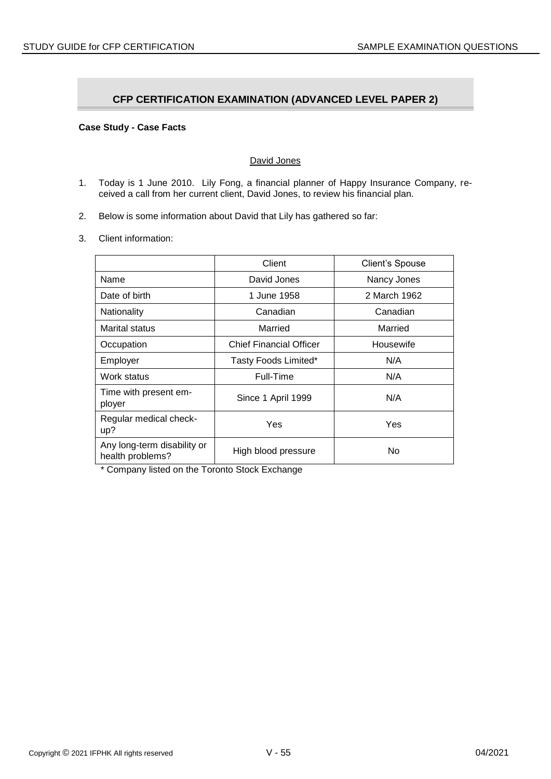# **CFP CERTIFICATION EXAMINATION (ADVANCED LEVEL PAPER 2)**

# **Case Study - Case Facts**

## David Jones

- 1. Today is 1 June 2010. Lily Fong, a financial planner of Happy Insurance Company, received a call from her current client, David Jones, to review his financial plan.
- 2. Below is some information about David that Lily has gathered so far:
- 3. Client information:

|                                                 | Client                         | <b>Client's Spouse</b> |
|-------------------------------------------------|--------------------------------|------------------------|
| Name                                            | David Jones                    | Nancy Jones            |
| Date of birth                                   | 1 June 1958                    | 2 March 1962           |
| Nationality                                     | Canadian                       | Canadian               |
| Marital status                                  | Married                        | Married                |
| Occupation                                      | <b>Chief Financial Officer</b> | Housewife              |
| Employer                                        | Tasty Foods Limited*           | N/A                    |
| Work status                                     | Full-Time                      | N/A                    |
| Time with present em-<br>ployer                 | Since 1 April 1999             | N/A                    |
| Regular medical check-<br>up?                   | Yes                            | Yes                    |
| Any long-term disability or<br>health problems? | High blood pressure            | No                     |

\* Company listed on the Toronto Stock Exchange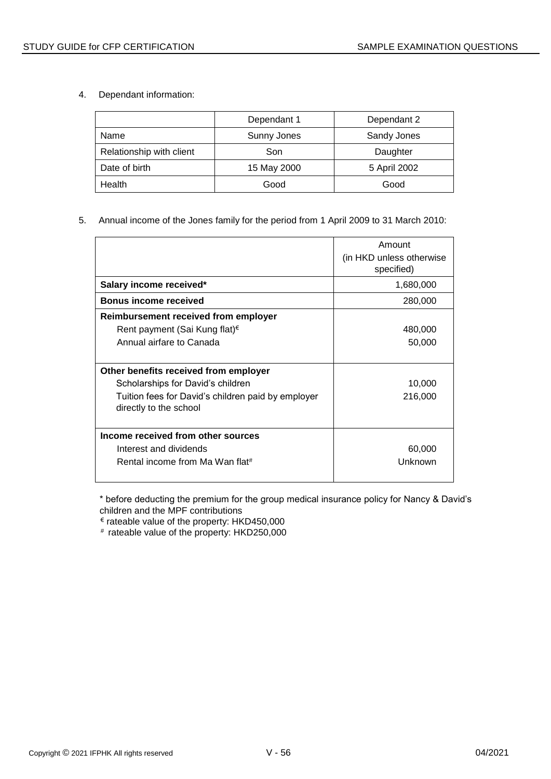4. Dependant information:

|                          | Dependant 2<br>Dependant 1 |              |
|--------------------------|----------------------------|--------------|
| Name                     | Sunny Jones                | Sandy Jones  |
| Relationship with client | Son                        | Daughter     |
| Date of birth            | 15 May 2000                | 5 April 2002 |
| Health                   | Good                       | Good         |

# 5. Annual income of the Jones family for the period from 1 April 2009 to 31 March 2010:

|                                                                                                                                                            | Amount<br>(in HKD unless otherwise<br>specified) |
|------------------------------------------------------------------------------------------------------------------------------------------------------------|--------------------------------------------------|
| Salary income received*                                                                                                                                    | 1,680,000                                        |
| <b>Bonus income received</b>                                                                                                                               | 280,000                                          |
| Reimbursement received from employer                                                                                                                       |                                                  |
| Rent payment (Sai Kung flat) <sup>€</sup>                                                                                                                  | 480,000                                          |
| Annual airfare to Canada                                                                                                                                   | 50,000                                           |
| Other benefits received from employer<br>Scholarships for David's children<br>Tuition fees for David's children paid by employer<br>directly to the school | 10,000<br>216,000                                |
|                                                                                                                                                            |                                                  |
| Income received from other sources<br>Interest and dividends                                                                                               | 60,000                                           |
| Rental income from Ma Wan flat#                                                                                                                            | Unknown                                          |

\* before deducting the premium for the group medical insurance policy for Nancy & David's children and the MPF contributions

€ rateable value of the property: HKD450,000

# rateable value of the property: HKD250,000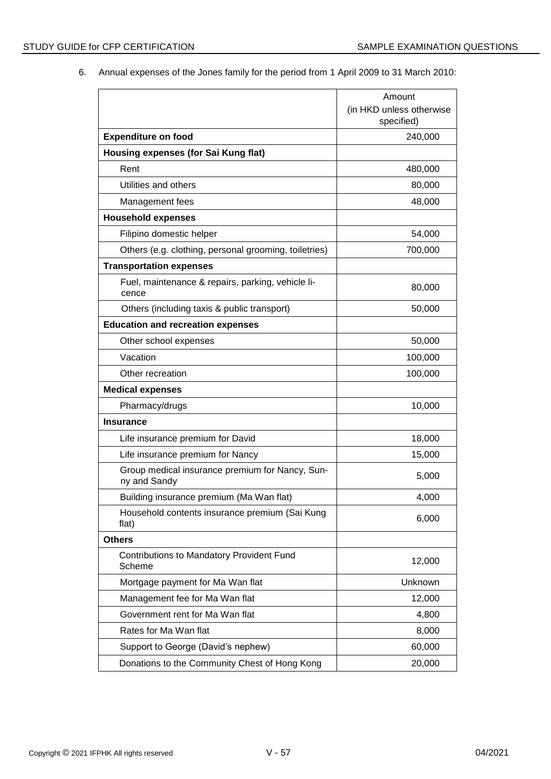6. Annual expenses of the Jones family for the period from 1 April 2009 to 31 March 2010:

|                                                                 | Amount                                 |
|-----------------------------------------------------------------|----------------------------------------|
|                                                                 | (in HKD unless otherwise<br>specified) |
| <b>Expenditure on food</b>                                      | 240,000                                |
| Housing expenses (for Sai Kung flat)                            |                                        |
| Rent                                                            | 480,000                                |
| Utilities and others                                            | 80,000                                 |
| Management fees                                                 | 48,000                                 |
| <b>Household expenses</b>                                       |                                        |
| Filipino domestic helper                                        | 54,000                                 |
| Others (e.g. clothing, personal grooming, toiletries)           | 700,000                                |
| <b>Transportation expenses</b>                                  |                                        |
| Fuel, maintenance & repairs, parking, vehicle li-<br>cence      | 80,000                                 |
| Others (including taxis & public transport)                     | 50,000                                 |
| <b>Education and recreation expenses</b>                        |                                        |
| Other school expenses                                           | 50,000                                 |
| Vacation                                                        | 100,000                                |
| Other recreation                                                | 100,000                                |
| <b>Medical expenses</b>                                         |                                        |
| Pharmacy/drugs                                                  | 10,000                                 |
| <b>Insurance</b>                                                |                                        |
| Life insurance premium for David                                | 18,000                                 |
| Life insurance premium for Nancy                                | 15,000                                 |
| Group medical insurance premium for Nancy, Sun-<br>ny and Sandy | 5,000                                  |
| Building insurance premium (Ma Wan flat)                        | 4,000                                  |
| Household contents insurance premium (Sai Kung<br>flat)         | 6,000                                  |
| <b>Others</b>                                                   |                                        |
| <b>Contributions to Mandatory Provident Fund</b><br>Scheme      | 12,000                                 |
| Mortgage payment for Ma Wan flat                                | Unknown                                |
| Management fee for Ma Wan flat                                  | 12,000                                 |
| Government rent for Ma Wan flat                                 | 4,800                                  |
| Rates for Ma Wan flat                                           | 8,000                                  |
| Support to George (David's nephew)                              | 60,000                                 |
| Donations to the Community Chest of Hong Kong                   | 20,000                                 |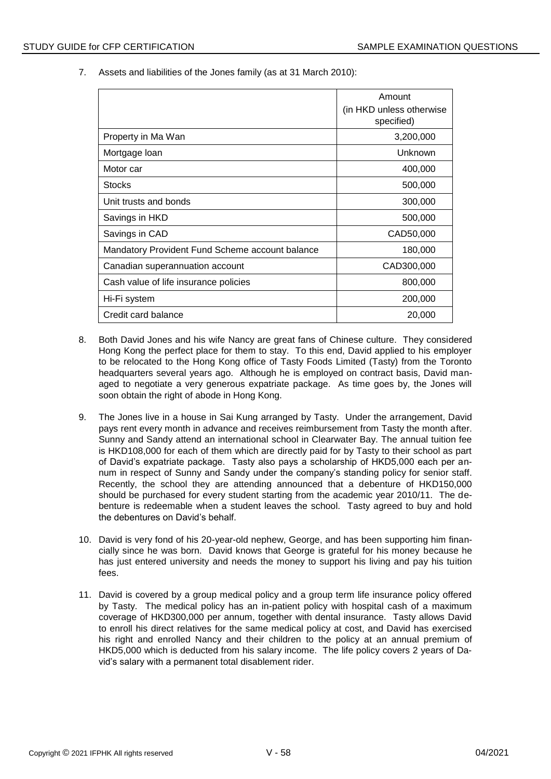7. Assets and liabilities of the Jones family (as at 31 March 2010):

|                                                 | Amount                                  |
|-------------------------------------------------|-----------------------------------------|
|                                                 | (in HKD unless otherwise)<br>specified) |
| Property in Ma Wan                              | 3,200,000                               |
| Mortgage loan                                   | Unknown                                 |
| Motor car                                       | 400,000                                 |
| <b>Stocks</b>                                   | 500,000                                 |
| Unit trusts and bonds                           | 300,000                                 |
| Savings in HKD                                  | 500,000                                 |
| Savings in CAD                                  | CAD50,000                               |
| Mandatory Provident Fund Scheme account balance | 180,000                                 |
| Canadian superannuation account                 | CAD300,000                              |
| Cash value of life insurance policies           | 800,000                                 |
| Hi-Fi system                                    | 200,000                                 |
| Credit card balance                             | 20,000                                  |

- 8. Both David Jones and his wife Nancy are great fans of Chinese culture. They considered Hong Kong the perfect place for them to stay. To this end, David applied to his employer to be relocated to the Hong Kong office of Tasty Foods Limited (Tasty) from the Toronto headquarters several years ago. Although he is employed on contract basis, David managed to negotiate a very generous expatriate package. As time goes by, the Jones will soon obtain the right of abode in Hong Kong.
- 9. The Jones live in a house in Sai Kung arranged by Tasty. Under the arrangement, David pays rent every month in advance and receives reimbursement from Tasty the month after. Sunny and Sandy attend an international school in Clearwater Bay. The annual tuition fee is HKD108,000 for each of them which are directly paid for by Tasty to their school as part of David's expatriate package. Tasty also pays a scholarship of HKD5,000 each per annum in respect of Sunny and Sandy under the company's standing policy for senior staff. Recently, the school they are attending announced that a debenture of HKD150,000 should be purchased for every student starting from the academic year 2010/11. The debenture is redeemable when a student leaves the school. Tasty agreed to buy and hold the debentures on David's behalf.
- 10. David is very fond of his 20-year-old nephew, George, and has been supporting him financially since he was born. David knows that George is grateful for his money because he has just entered university and needs the money to support his living and pay his tuition fees.
- 11. David is covered by a group medical policy and a group term life insurance policy offered by Tasty. The medical policy has an in-patient policy with hospital cash of a maximum coverage of HKD300,000 per annum, together with dental insurance. Tasty allows David to enroll his direct relatives for the same medical policy at cost, and David has exercised his right and enrolled Nancy and their children to the policy at an annual premium of HKD5,000 which is deducted from his salary income. The life policy covers 2 years of David's salary with a permanent total disablement rider.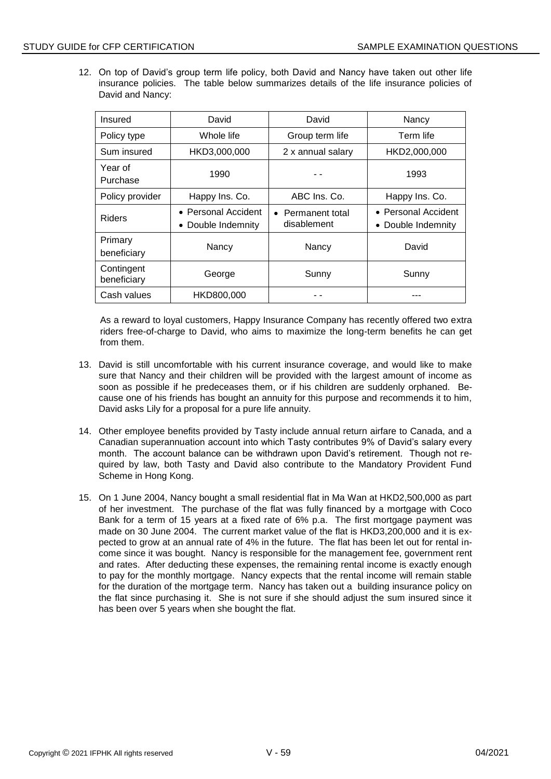12. On top of David's group term life policy, both David and Nancy have taken out other life insurance policies. The table below summarizes details of the life insurance policies of David and Nancy:

| Insured                   | David                                     | David                            | Nancy                                     |  |
|---------------------------|-------------------------------------------|----------------------------------|-------------------------------------------|--|
| Policy type               | Whole life                                | Group term life                  | Term life                                 |  |
| Sum insured               | HKD3,000,000                              | 2 x annual salary                | HKD2,000,000                              |  |
| Year of<br>Purchase       | 1990                                      | 1993                             |                                           |  |
| Policy provider           | Happy Ins. Co.                            | ABC Ins. Co.                     | Happy Ins. Co.                            |  |
| <b>Riders</b>             | • Personal Accident<br>• Double Indemnity | • Permanent total<br>disablement | • Personal Accident<br>• Double Indemnity |  |
| Primary<br>beneficiary    | Nancy                                     | Nancy                            | David                                     |  |
| Contingent<br>beneficiary | George                                    | Sunny                            | Sunny                                     |  |
| Cash values               | HKD800,000                                |                                  |                                           |  |

As a reward to loyal customers, Happy Insurance Company has recently offered two extra riders free-of-charge to David, who aims to maximize the long-term benefits he can get from them.

- 13. David is still uncomfortable with his current insurance coverage, and would like to make sure that Nancy and their children will be provided with the largest amount of income as soon as possible if he predeceases them, or if his children are suddenly orphaned. Because one of his friends has bought an annuity for this purpose and recommends it to him, David asks Lily for a proposal for a pure life annuity.
- 14. Other employee benefits provided by Tasty include annual return airfare to Canada, and a Canadian superannuation account into which Tasty contributes 9% of David's salary every month. The account balance can be withdrawn upon David's retirement. Though not required by law, both Tasty and David also contribute to the Mandatory Provident Fund Scheme in Hong Kong.
- 15. On 1 June 2004, Nancy bought a small residential flat in Ma Wan at HKD2,500,000 as part of her investment. The purchase of the flat was fully financed by a mortgage with Coco Bank for a term of 15 years at a fixed rate of 6% p.a. The first mortgage payment was made on 30 June 2004. The current market value of the flat is HKD3,200,000 and it is expected to grow at an annual rate of 4% in the future. The flat has been let out for rental income since it was bought. Nancy is responsible for the management fee, government rent and rates. After deducting these expenses, the remaining rental income is exactly enough to pay for the monthly mortgage. Nancy expects that the rental income will remain stable for the duration of the mortgage term. Nancy has taken out a building insurance policy on the flat since purchasing it. She is not sure if she should adjust the sum insured since it has been over 5 years when she bought the flat.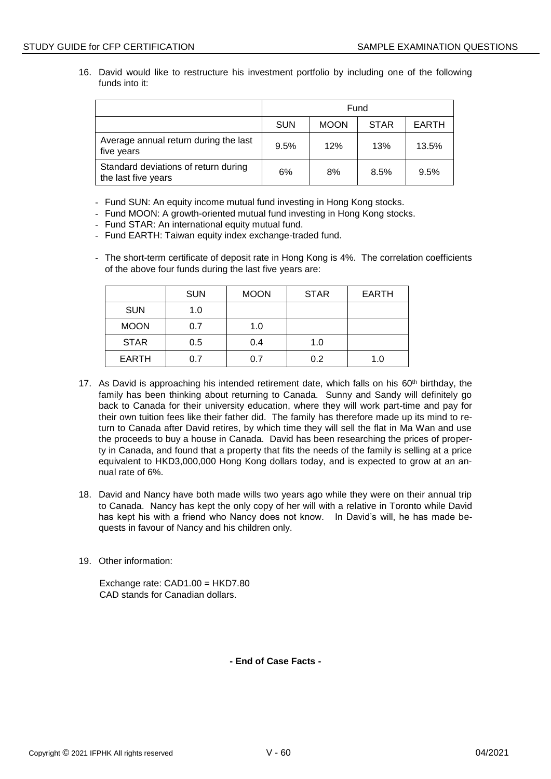16. David would like to restructure his investment portfolio by including one of the following funds into it:

|                                                             | Fund       |             |             |              |
|-------------------------------------------------------------|------------|-------------|-------------|--------------|
|                                                             | <b>SUN</b> | <b>MOON</b> | <b>STAR</b> | <b>EARTH</b> |
| Average annual return during the last<br>five years         | 9.5%       | 12%         | 13%         | 13.5%        |
| Standard deviations of return during<br>the last five years | 6%         | 8%          | 8.5%        | 9.5%         |

- Fund SUN: An equity income mutual fund investing in Hong Kong stocks.
- Fund MOON: A growth-oriented mutual fund investing in Hong Kong stocks.
- Fund STAR: An international equity mutual fund.
- Fund EARTH: Taiwan equity index exchange-traded fund.
- The short-term certificate of deposit rate in Hong Kong is 4%. The correlation coefficients of the above four funds during the last five years are:

|              | <b>SUN</b> | <b>MOON</b> | <b>STAR</b> | <b>EARTH</b> |
|--------------|------------|-------------|-------------|--------------|
| <b>SUN</b>   | 1.0        |             |             |              |
| <b>MOON</b>  | 0.7        | 1.0         |             |              |
| <b>STAR</b>  | 0.5        | 0.4         | 1.0         |              |
| <b>EARTH</b> | 0.7        | 0.7         | 0.2         | 1.0          |

- 17. As David is approaching his intended retirement date, which falls on his  $60<sup>th</sup>$  birthday, the family has been thinking about returning to Canada. Sunny and Sandy will definitely go back to Canada for their university education, where they will work part-time and pay for their own tuition fees like their father did. The family has therefore made up its mind to return to Canada after David retires, by which time they will sell the flat in Ma Wan and use the proceeds to buy a house in Canada. David has been researching the prices of property in Canada, and found that a property that fits the needs of the family is selling at a price equivalent to HKD3,000,000 Hong Kong dollars today, and is expected to grow at an annual rate of 6%.
- 18. David and Nancy have both made wills two years ago while they were on their annual trip to Canada. Nancy has kept the only copy of her will with a relative in Toronto while David has kept his with a friend who Nancy does not know. In David's will, he has made bequests in favour of Nancy and his children only.
- 19. Other information:

Exchange rate: CAD1.00 = HKD7.80 CAD stands for Canadian dollars.

**- End of Case Facts -**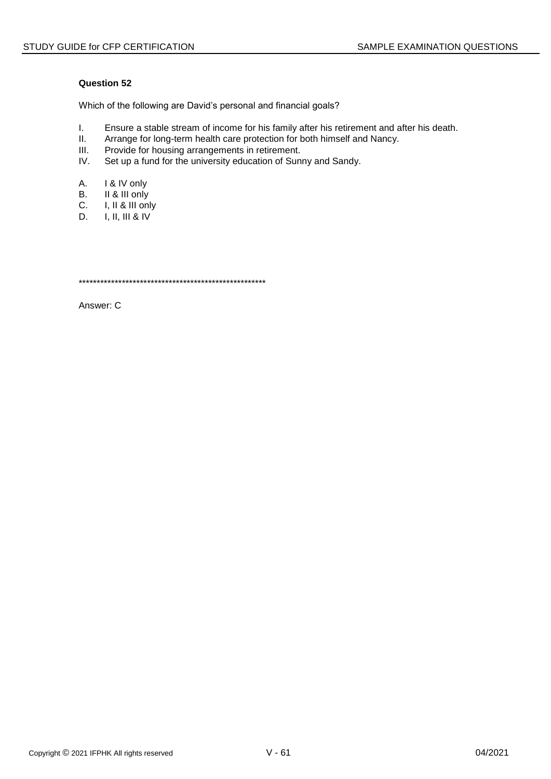Which of the following are David's personal and financial goals?

- I. Ensure a stable stream of income for his family after his retirement and after his death.<br>II. Arrange for long-term health care protection for both himself and Nancy.
- II. Arrange for long-term health care protection for both himself and Nancy.<br>III. Provide for housing arrangements in retirement.
- Provide for housing arrangements in retirement.
- IV. Set up a fund for the university education of Sunny and Sandy.
- A. I & IV only
- B. II & III only
- C. I, II & III only<br>D. I, II, III & IV
- D. I, II, III & IV

\*\*\*\*\*\*\*\*\*\*\*\*\*\*\*\*\*\*\*\*\*\*\*\*\*\*\*\*\*\*\*\*\*\*\*\*\*\*\*\*\*\*\*\*\*\*\*\*\*\*\*\*

Answer: C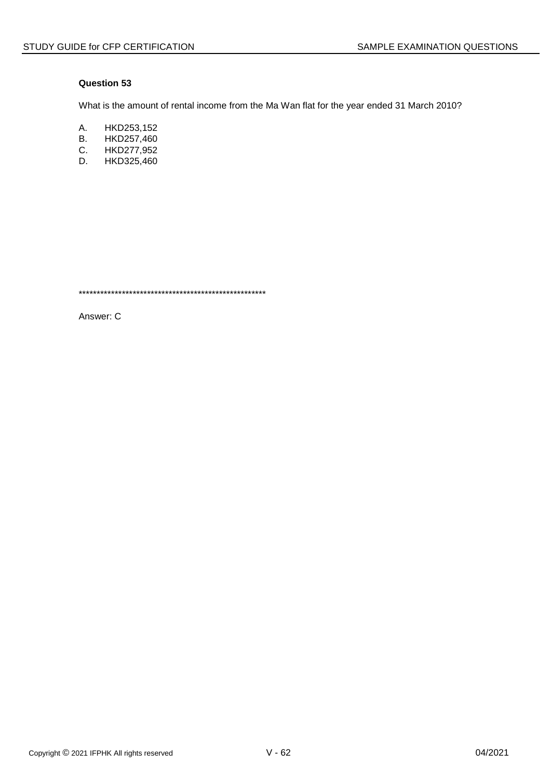What is the amount of rental income from the Ma Wan flat for the year ended 31 March 2010?

- A. HKD253,152
- **B.** HKD257,460
- $C_{1}$ HKD277,952
- HKD325,460 D.

Answer: C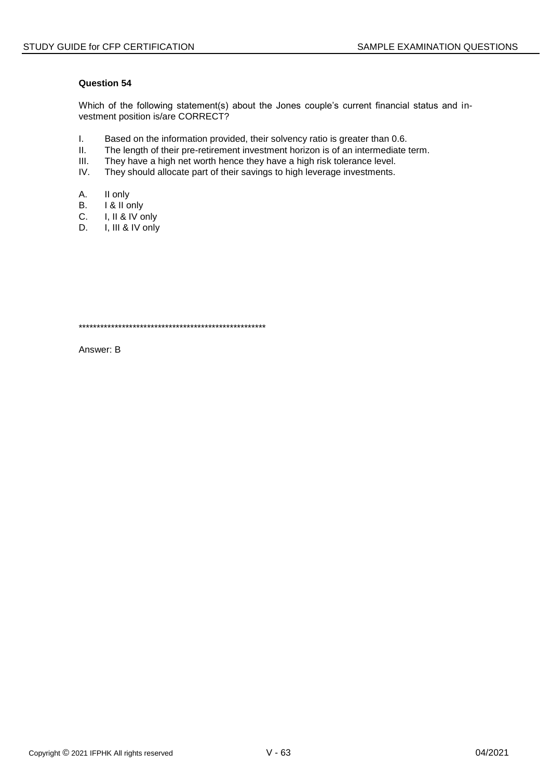Which of the following statement(s) about the Jones couple's current financial status and investment position is/are CORRECT?

- $\mathbf{L}$ Based on the information provided, their solvency ratio is greater than 0.6.
- $II.$ The length of their pre-retirement investment horizon is of an intermediate term.
- $III.$ They have a high net worth hence they have a high risk tolerance level.
- IV. They should allocate part of their savings to high leverage investments.
- А. II only
- **B.** I & II only
- I, II & IV only  $C_{1}$
- I, III & IV only D.

Answer: B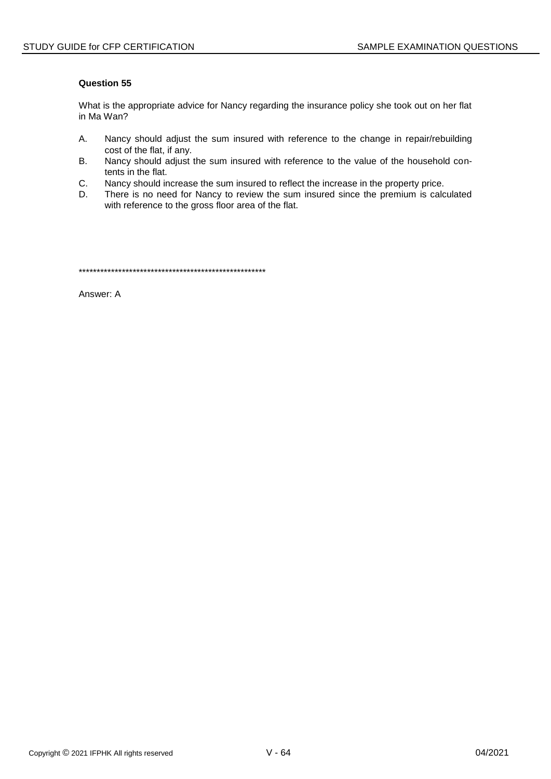What is the appropriate advice for Nancy regarding the insurance policy she took out on her flat in Ma Wan?

- A. Nancy should adjust the sum insured with reference to the change in repair/rebuilding cost of the flat, if any.
- **B.** Nancy should adjust the sum insured with reference to the value of the household contents in the flat.
- C. Nancy should increase the sum insured to reflect the increase in the property price.
- There is no need for Nancy to review the sum insured since the premium is calculated D. with reference to the gross floor area of the flat.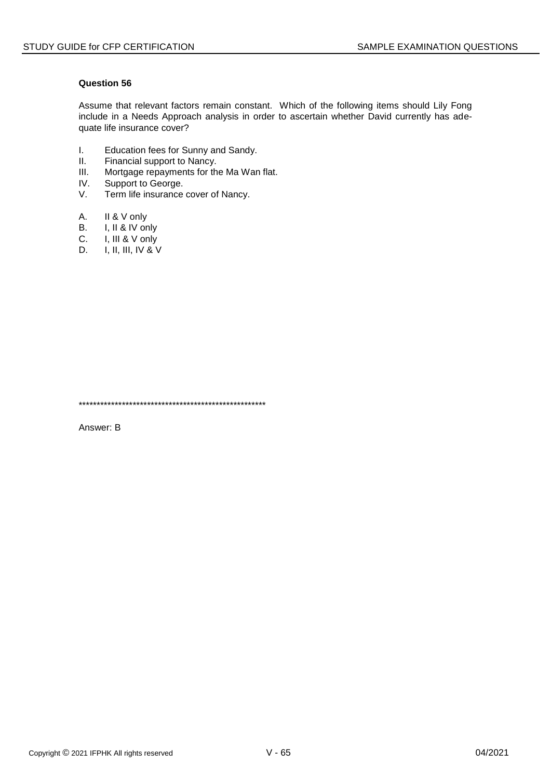Assume that relevant factors remain constant. Which of the following items should Lily Fong include in a Needs Approach analysis in order to ascertain whether David currently has adequate life insurance cover?

- $\mathbf{L}$ Education fees for Sunny and Sandy.
- $II.$ Financial support to Nancy.
- $III.$ Mortgage repayments for the Ma Wan flat.
- IV. Support to George.
- V. Term life insurance cover of Nancy.
- A. II & V only
- I, II & IV only **B.**
- I, III & V only C.
- D. I, II, III, IV & V

Answer: B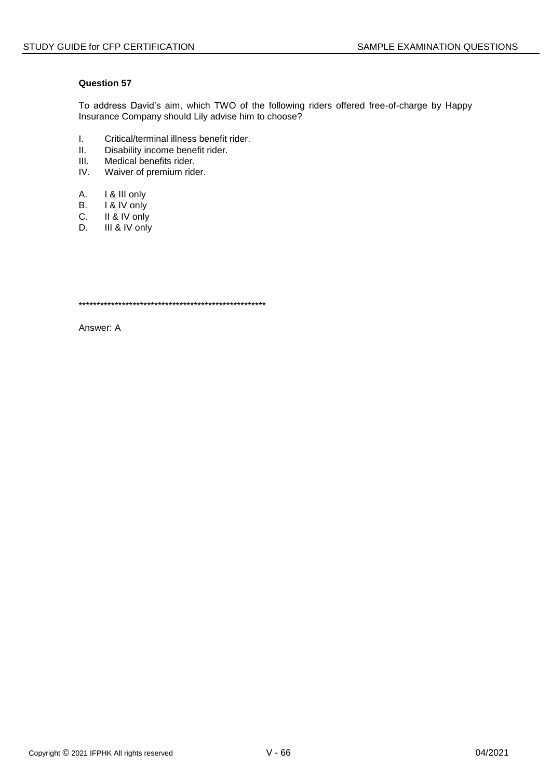To address David's aim, which TWO of the following riders offered free-of-charge by Happy Insurance Company should Lily advise him to choose?

- I. Critical/terminal illness benefit rider.<br>II. Disability income benefit rider.
- Disability income benefit rider.
- III. Medical benefits rider.<br>IV. Waiver of premium ride
- Waiver of premium rider.
- A. I & III only
- 
- B. I & IV only<br>C. II & IV only C. II & IV only<br>D. III & IV only
- III & IV only

\*\*\*\*\*\*\*\*\*\*\*\*\*\*\*\*\*\*\*\*\*\*\*\*\*\*\*\*\*\*\*\*\*\*\*\*\*\*\*\*\*\*\*\*\*\*\*\*\*\*\*\*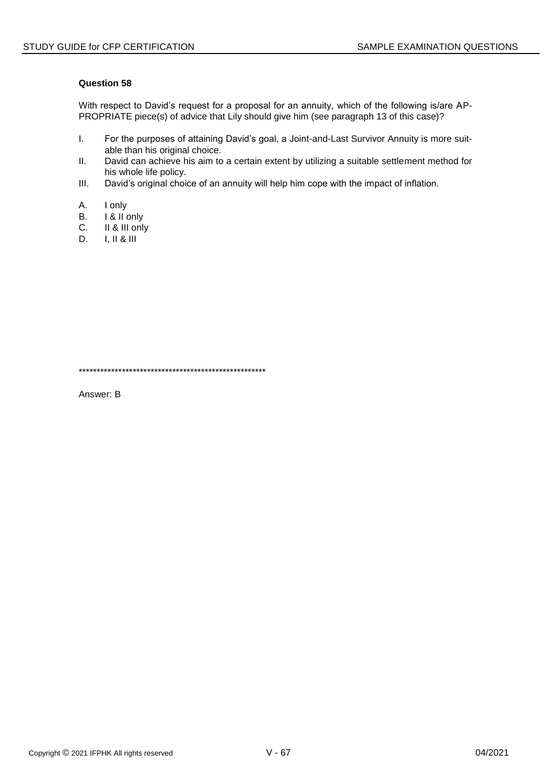With respect to David's request for a proposal for an annuity, which of the following is/are AP-PROPRIATE piece(s) of advice that Lily should give him (see paragraph 13 of this case)?

- I. For the purposes of attaining David's goal, a Joint-and-Last Survivor Annuity is more suitable than his original choice.
- II. David can achieve his aim to a certain extent by utilizing a suitable settlement method for his whole life policy.
- III. David's original choice of an annuity will help him cope with the impact of inflation.
- A. I only
- B. I & II only<br>C. II & III only
- II & III only
- D. I, II & III

\*\*\*\*\*\*\*\*\*\*\*\*\*\*\*\*\*\*\*\*\*\*\*\*\*\*\*\*\*\*\*\*\*\*\*\*\*\*\*\*\*\*\*\*\*\*\*\*\*\*\*\*

Answer: B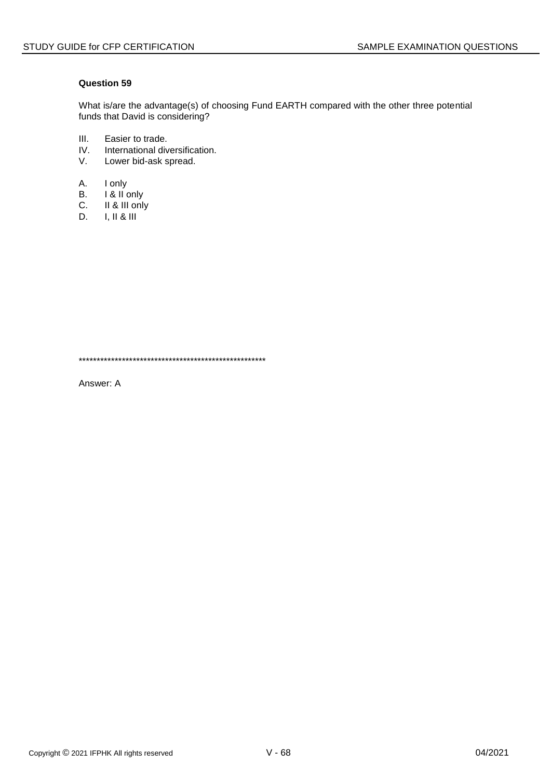What is/are the advantage(s) of choosing Fund EARTH compared with the other three potential funds that David is considering?

- $III.$ Easier to trade.
- IV. International diversification.
- $V_{\cdot}$ Lower bid-ask spread.
- A. I only
- **B.** I & II only
- II & III only  $C.$
- D.  $I, II & II$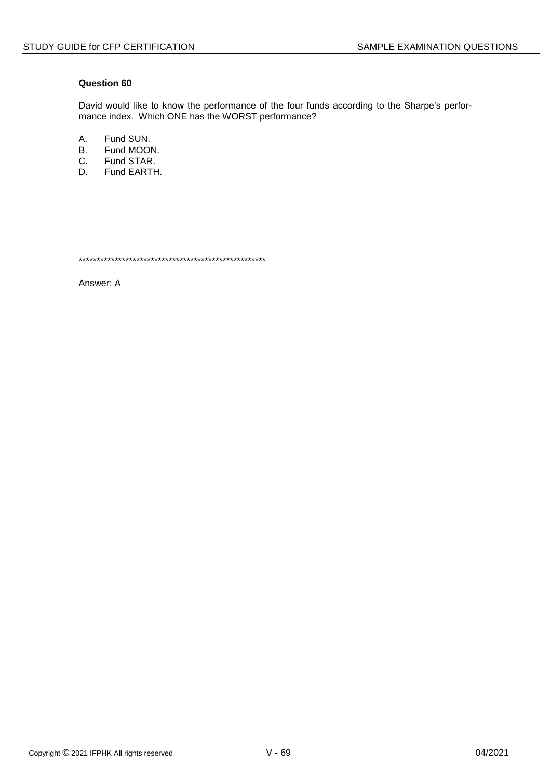David would like to know the performance of the four funds according to the Sharpe's performance index. Which ONE has the WORST performance?

A. Fund SUN.

- **B.** Fund MOON.
- Fund STAR.  $C_{1}$
- D. Fund EARTH.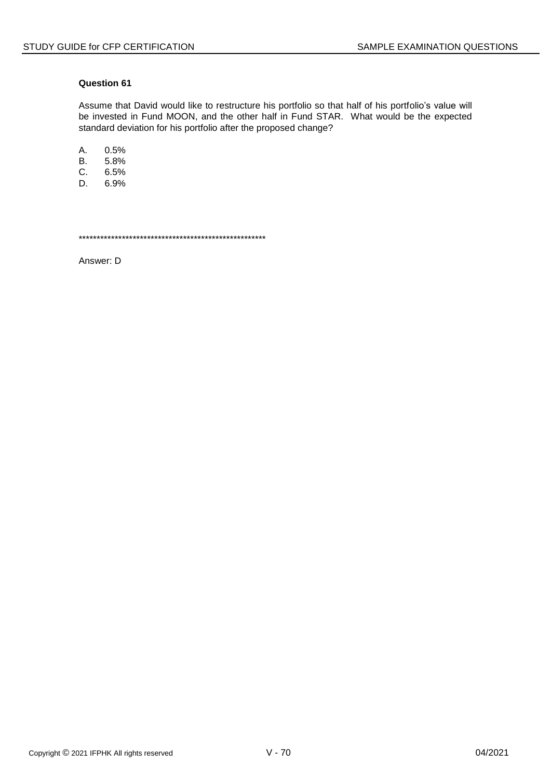Assume that David would like to restructure his portfolio so that half of his portfolio's value will be invested in Fund MOON, and the other half in Fund STAR. What would be the expected standard deviation for his portfolio after the proposed change?

А. 0.5%

 $B<sub>r</sub>$ 5.8%

- C. 6.5%
- D. 6.9%

Answer: D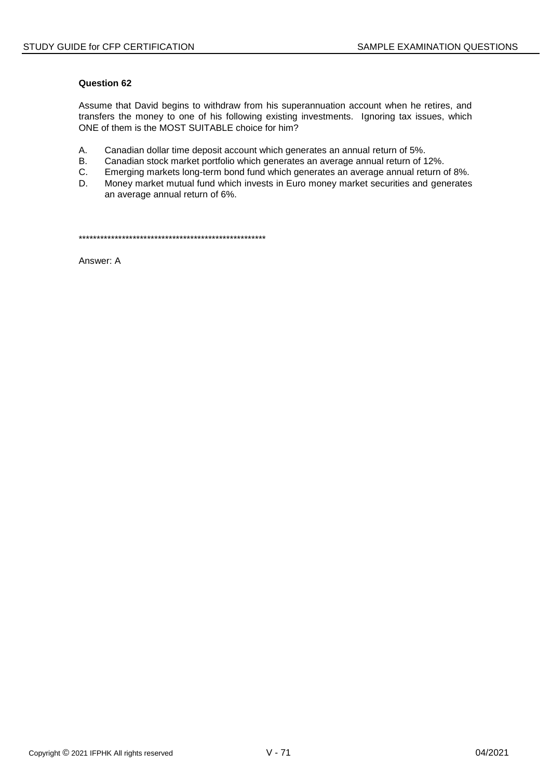Assume that David begins to withdraw from his superannuation account when he retires, and transfers the money to one of his following existing investments. Ignoring tax issues, which ONE of them is the MOST SUITABLE choice for him?

- A. Canadian dollar time deposit account which generates an annual return of 5%.
- **B.** Canadian stock market portfolio which generates an average annual return of 12%.
- C. Emerging markets long-term bond fund which generates an average annual return of 8%.
- D. Money market mutual fund which invests in Euro money market securities and generates an average annual return of 6%.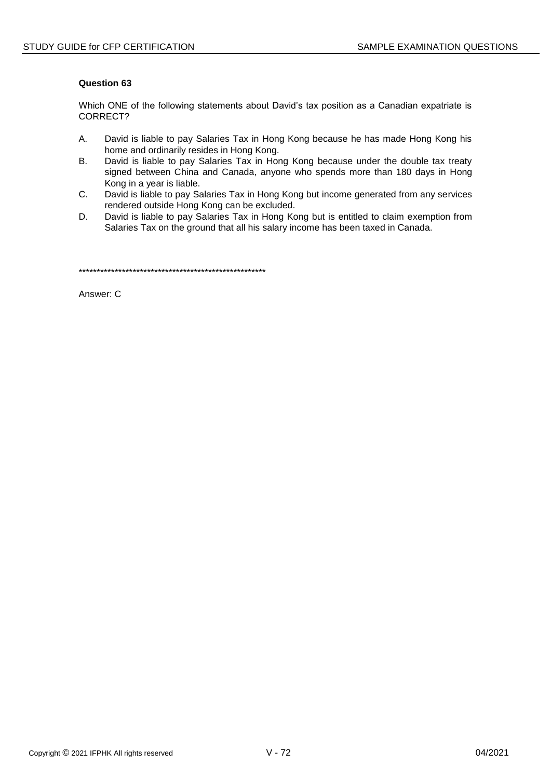Which ONE of the following statements about David's tax position as a Canadian expatriate is CORRECT?

- $A_{1}$ David is liable to pay Salaries Tax in Hong Kong because he has made Hong Kong his home and ordinarily resides in Hong Kong.
- **B.** David is liable to pay Salaries Tax in Hong Kong because under the double tax treaty signed between China and Canada, anyone who spends more than 180 days in Hong Kong in a year is liable.
- C. David is liable to pay Salaries Tax in Hong Kong but income generated from any services rendered outside Hong Kong can be excluded.
- D. David is liable to pay Salaries Tax in Hong Kong but is entitled to claim exemption from Salaries Tax on the ground that all his salary income has been taxed in Canada.

Answer: C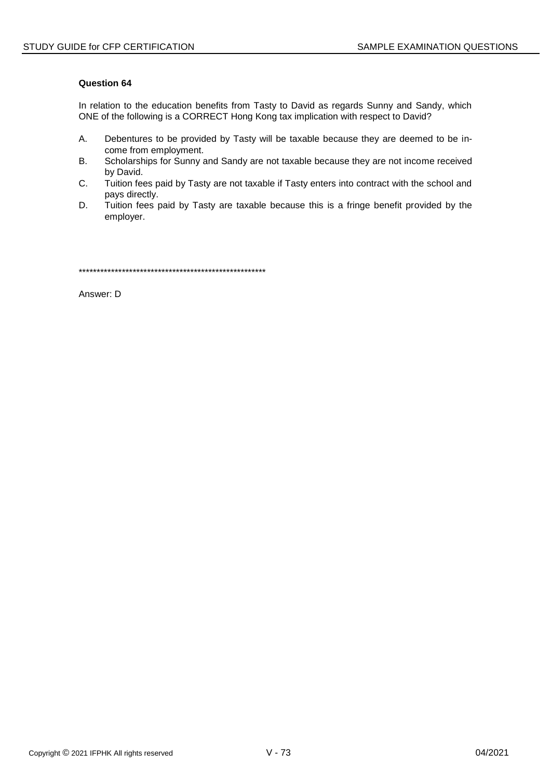In relation to the education benefits from Tasty to David as regards Sunny and Sandy, which ONE of the following is a CORRECT Hong Kong tax implication with respect to David?

- Α. Debentures to be provided by Tasty will be taxable because they are deemed to be income from employment.
- **B.** Scholarships for Sunny and Sandy are not taxable because they are not income received by David.
- C. Tuition fees paid by Tasty are not taxable if Tasty enters into contract with the school and pays directly.
- D. Tuition fees paid by Tasty are taxable because this is a fringe benefit provided by the employer.

Answer: D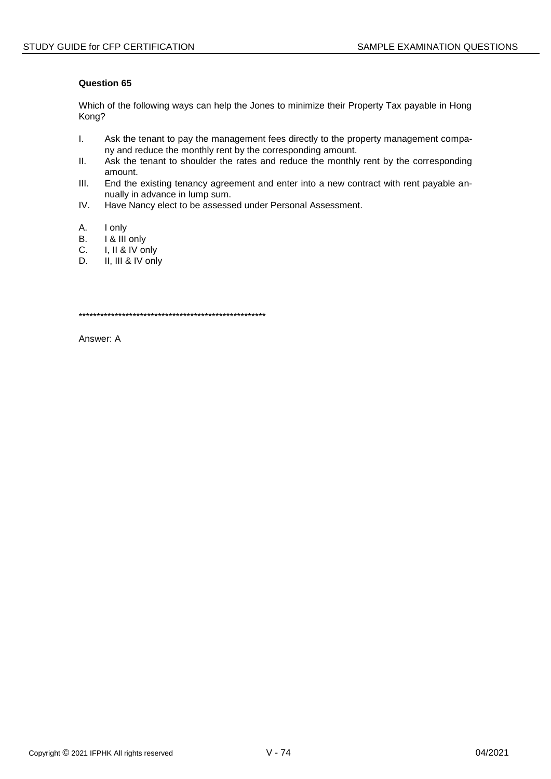Which of the following ways can help the Jones to minimize their Property Tax payable in Hong Kong?

- $\mathbf{L}$ Ask the tenant to pay the management fees directly to the property management company and reduce the monthly rent by the corresponding amount.
- $II.$ Ask the tenant to shoulder the rates and reduce the monthly rent by the corresponding amount.
- $III.$ End the existing tenancy agreement and enter into a new contract with rent payable annually in advance in lump sum.
- IV. Have Nancy elect to be assessed under Personal Assessment.
- А. I only
- I & III only B.
- C. I, II & IV only
- D. II, III & IV only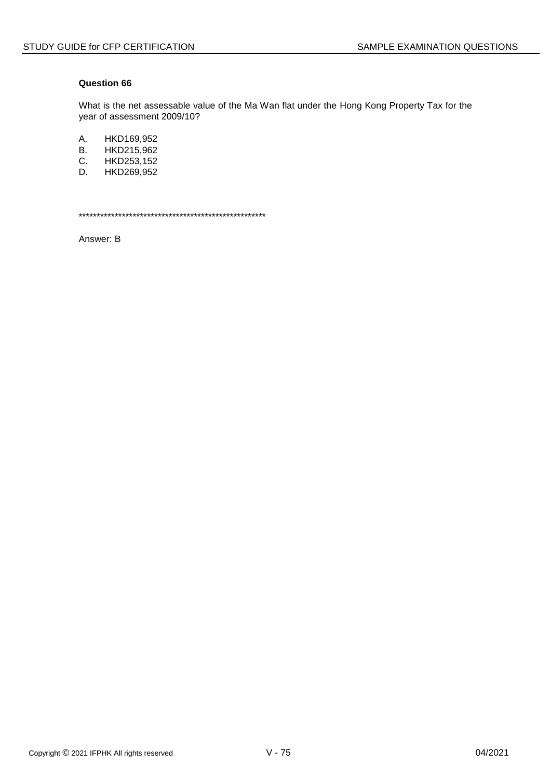What is the net assessable value of the Ma Wan flat under the Hong Kong Property Tax for the year of assessment 2009/10?

A. HKD169,952

- **B.** HKD215,962
- C. HKD253,152
- D. HKD269,952

Answer: B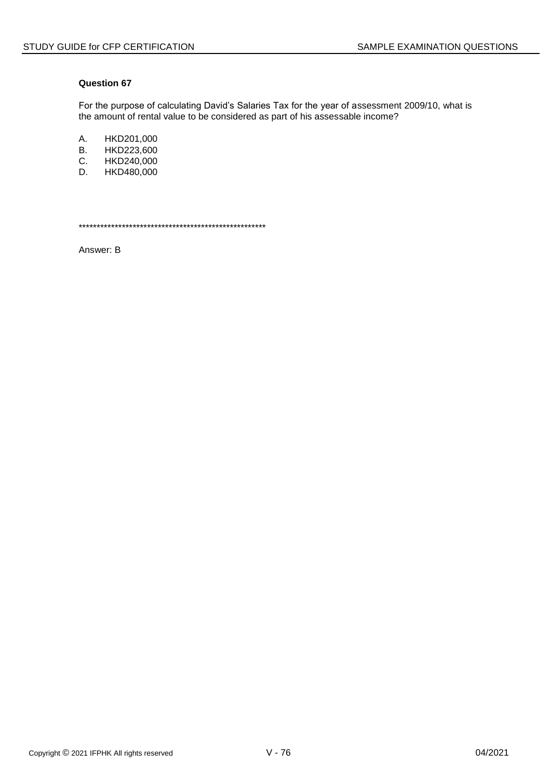For the purpose of calculating David's Salaries Tax for the year of assessment 2009/10, what is the amount of rental value to be considered as part of his assessable income?

A. HKD201,000<br>B. HKD223,600

- HKD223,600
- C. HKD240,000<br>D. HKD480.000
- HKD480,000

\*\*\*\*\*\*\*\*\*\*\*\*\*\*\*\*\*\*\*\*\*\*\*\*\*\*\*\*\*\*\*\*\*\*\*\*\*\*\*\*\*\*\*\*\*\*\*\*\*\*\*\*

Answer: B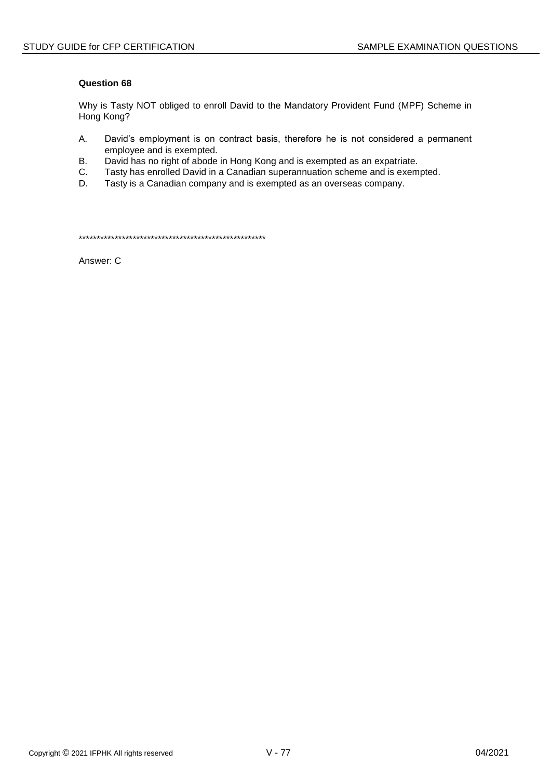Why is Tasty NOT obliged to enroll David to the Mandatory Provident Fund (MPF) Scheme in Hong Kong?

- Α. David's employment is on contract basis, therefore he is not considered a permanent employee and is exempted.
- **B.** David has no right of abode in Hong Kong and is exempted as an expatriate.
- C. Tasty has enrolled David in a Canadian superannuation scheme and is exempted.
- Tasty is a Canadian company and is exempted as an overseas company. D.

Answer: C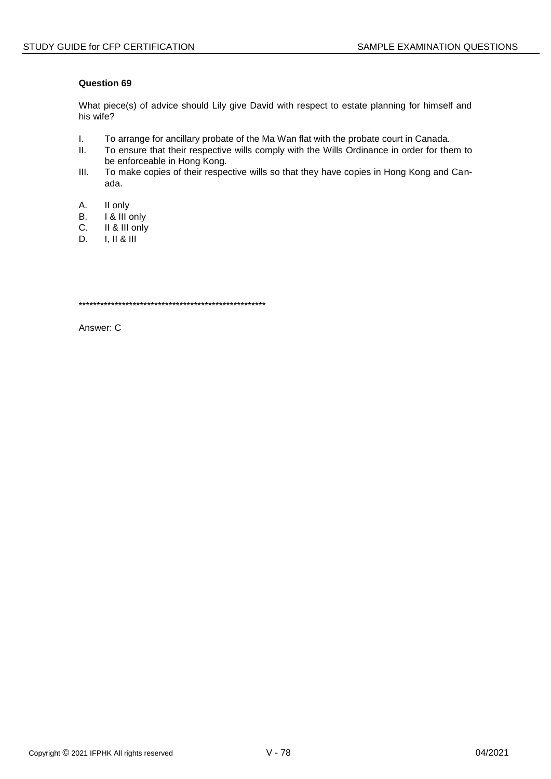What piece(s) of advice should Lily give David with respect to estate planning for himself and his wife?

- $\mathbf{L}$ To arrange for ancillary probate of the Ma Wan flat with the probate court in Canada.
- $II.$ To ensure that their respective wills comply with the Wills Ordinance in order for them to be enforceable in Hong Kong.
- $III.$ To make copies of their respective wills so that they have copies in Hong Kong and Canada.
- A. II only
- I & III only **B.**
- II & III only C.
- $I, II & III$ D.

Answer: C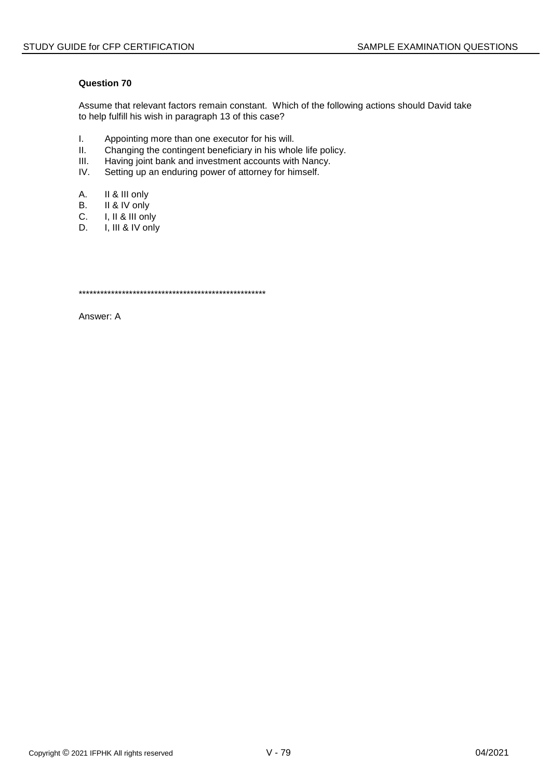Assume that relevant factors remain constant. Which of the following actions should David take to help fulfill his wish in paragraph 13 of this case?

- $\mathbf{L}$ Appointing more than one executor for his will.
- $II.$ Changing the contingent beneficiary in his whole life policy.
- $III.$ Having joint bank and investment accounts with Nancy.
- IV. Setting up an enduring power of attorney for himself.
- А. II & III only
- **B.** II & IV only
- C. I, II & III only
- I, III & IV only D.